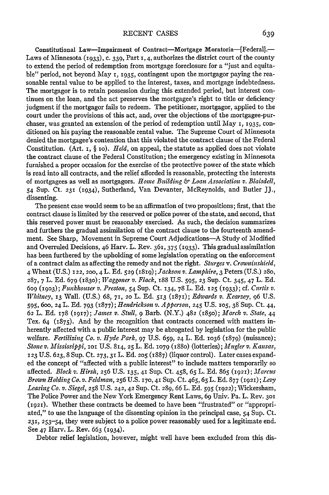Constitutional Law—Impairment of Contract—Mortgage Moratoria—[Federal].— Laws of Minnesota **(1933), C.** 339, Part **1,** 4, authorizes the district court of the county to extend the period of redemption from mortgage foreclosure for a "just and equitable" period, not beyond May 1, 1935, contingent upon the mortgagor paying the reasonable rental value to be applied to the interest, taxes, and mortgage indebtedness. The mortgagor is to retain possession during this extended period, but interest continues on the loan, and the act preserves the mortgagee's right to title or deficiency judgment **if** the mortgagor fails to redeem. The petitioner, mortgagor, applied to the court under the provisions of this act, and, over the objections of the mortgagee-purchaser, was granted an extension of the period of redemption until May **i,** 1935, conditioned on his paying the reasonable rental value. The Supreme Court of Minnesota denied the mortgagee's contention that this violated the contract clause of the Federal Constitution. (Art. **i,** § io). *Held,* on appeal, the statute as applied does not violate the contract clause of the Federal Constitution; the emergency existing in Minnesota furnished a proper occasion for the exercise of the protective power of the state which is read into all contracts, and the relief afforded is reasonable, protecting the interests of mortgagees as well as mortgagors. *Home Building & Loan Association v. Blaisdell, 54* Sup. Ct. 231 (1934), Sutherland, Van Devanter, McReynolds, and Butler JJ., dissenting.

The present case would seem to be an affirmation of two propositions; first, that the contract clause is limited by the reserved or police power of the state, and second, that this reserved power must be reasonably exercised. As such, the decision summarizes and furthers the gradual assimilation of the contract clause to the fourteenth amendment. See Sharp, Movement in Supreme Court Adjudications—A Study of Modified and Overruled Decisions, 46 Harv. L. Rev. 361, 375 (1933). This gradual assimilation has been furthered by the upholding of some legislation operating on the enforcement of a contract claim as affecting the remedy and not the right. *Sturges v. Crowninshield,* 4 Wheat (U.S.) 122, **200,** 4 L. Ed. **529** *(r819);Jackson v. Lamphire,* 3 Peters (U.S.) **280,** 287, **7** L. Ed. 679 (1830); *Waggoner v. Flack,* 188 U.S. 595, **23** Sup. Ct. 345, 47 L. Ed. 609 **(1903);** *Funkhouser v. Preston,* 54 Sup. Ct. 134, 78 L. Ed. 125 **(1933);** cf. *Curtis v. Whitney,* **13** Wall. (U.S.) 68, **71,** 2o L. Ed. 513 (1871); *Edwards v. Kearzey,* 96 U.S. 595, **600,** 24 L. Ed. 793 (1877); *Hendrickson v. Apperson,* 245 U.S. **105,** 38 Sup. Ct. 44, 62 L. Ed. 178 (1917); *James v. Stull,* **9** Barb. (N.Y.) 482 (185o); *March v. State,* 44 Tex. 64 (1875). And by the recognition that contracts concerned with matters inherently affected with a public interest may be abrogated by legislation for the public welfare. *Fertilizing Co. v. Hyde Park,* 97 U.S. 659, 24 L. Ed. 1O36 (1879) (nuisance); *Stone v. 31ississippi,* IOI U.S. 814, **25** L. Ed. **1079** (188o) (lotteries); *Mugler v. Kansas,* **123** U.S. 623,8 Sup. Ct. 273,31 L. Ed. **205** (1887) (liquor control). Later cases expanded the concept of "affected with a public interest" to include matters temporarily so affected. *Block v. Hirsh,* 256 U.S. 135, 41 Sup. Ct. 458, **65** L. Ed. 865 (1921); *Marcus Brown Holding Co. v. Feldman,* 256 U.S. 170,41 Sup. Ct. 465, **65** L. Ed. 877 **(1921);** *Levy Leasing Co. v. Siegel,* 258 U.S. 242, 42 Sup. Ct. 289, 66 L. Ed. **595** (1922); Wickersham, The Police Power and the New York Emergency Rent Laws, 69 Univ. Pa. L. Rev. **301 (1921).** Whether these contracts be deemed to have been "frustrated" or "appropriated," to use the language of the dissenting opinion in the principal case, 54 Sup. Ct. **231, 253-54,** they were subject to a police power reasonably used for a legitimate end. See 47 Harv. L. Rev. 663 (1934).

Debtor relief legislation, however, might well have been excluded from this dis-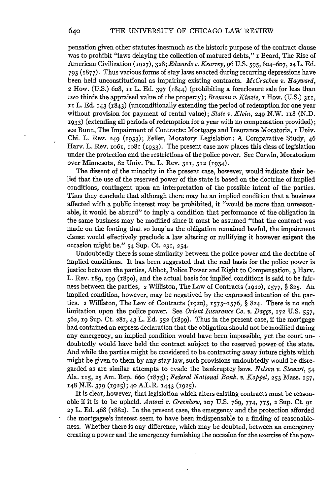pensation given other statutes inasmuch as the historic purpose of the contract clause was to prohibit "laws delaying the collection of matured debts," **i** Beard, The Rise of American Civilization (1927), 328; *Edwards v. Kear-ey,* 96 U.S. **595,** 604-607, 24 L. Ed. 793 (1877). Thus various forms of stay laws enacted during recurring depressions have been held unconstitutional as impairing existing contracts. *McCracken v. Hayward,* 2 How. (U.S.) 6o8, **ii** L. Ed. 397 (1844) (prohibiting a foreclosure sale for less than two thirds the appraised value of the property); *Bronson v. Kinzie,* i How. (U.S.) **311,** II L. Ed. 143 (1843) (unconditionally extending the period of redemption for one year without provision for payment of rental value); *State v. Klein,* 249 N.W. 118 (N.D. **1933)** (extending all periods of redemption for a year with no compensation provided); see Bunn, The Impairment of Contracts: Mortgage and Insurance Moratoria, I Univ. Chi. L. Rev. 249 **(1933);** Feller, Moratory Legislation: A Comparative Study, 46 Harv. L. Rev.  $1061$ ,  $1081$  ( $1933$ ). The present case now places this class of legislation under the protection and the restrictions of the police power. See Corwin, Moratorium over Minnesota, 82 Univ. Pa. L. Rev. **311, 312** (1934).

The dissent of the minority in the present case, however, would indicate their belief that the use of the reserved power of the state is based on the doctrine of implied conditions, contingent upon an interpretation of the possible intent of the parties. Thus they conclude that although there may be an implied condition that a business affected with a public interest may be prohibited, it "would be more than unreasonable, it would be absurd" to imply a condition that performance of the obligation in the same business may be modified since it must be assumed "that the contract was made on the footing that so long as the obligation remained lawful, the impairment clause would effectively preclude a law altering or nullifying it however exigent the occasion might be." 54 Sup. Ct. 231, 254.

Undoubtedly there is some similarity between the police power and the doctrine of implied conditions. It has been suggested that the real basis for the police power is justice between the parties, Abbot, Police Power and Right to Compensation, 3 Harv. L. Rev. 189, igg (i8go), and the actual basis for implied conditions is said to be fairness between the parties, 2 Williston, The Law of Contracts (1920), **1577,** § 825. An implied condition, however, may be negatived by the expressed intention of the parties. 2 Williston, The Law of Contracts **(1920),** 1575-1576, § 824. There is no such limitation upon the police power. See *Orient Insurance Co. v. Daggs,* **172** U.S. 557, 562, **19** Sup. Ct. **281,** 43 L. Ed. **552** (1899). Thus in the present case, **if** the mortgage had contained an express declaration that the obligation should not be modified during any emergency, an implied condition would have been impossible, yet the court undoubtedly would have held the contract subject to the reserved power. of the state. And while the parties might be considered to be contracting away future rights which might be given to them by any stay law, such provisions undoubtedly would be disregarded as are similar attempts to evade the bankruptcy laws. *Nelson v. Stewart,* 54 Ala. 15, **25** Am. Rep. 66o (1875); *Federal National Bank. v. Koppel,* **253** Mass. **157,** 148 N.E. 379 (1925); **40** A.L.R. 1443 (1925).

It is clear, however, that legislation which alters existing contracts must be reasonable if it is to be upheld. *Antoni v. Greenhow,* **107** U.S. 769, 774, 775, 2 Sup. Ct. **<sup>91</sup> 27** L. Ed. 468 (1882). In the present case, the emergency and the protection afforded the mortgagee's interest seem to have been indispensable to a finding of reasonableness. Whether there is any difference, which may be doubted, between an emergency creating a power and the emergency furnishing the occasion for the exercise of the pow-

640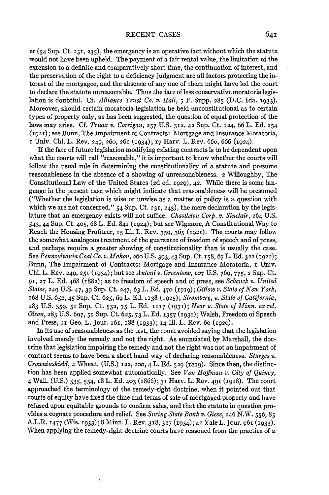er (54 Sup. Ct. 231, **235),** the emergency is an operative fact without which the statute would not have been upheld. The payment of a fair rental value, the limitation of the extension to a definite and comparatively short time, the continuation of interest, and the preservation of the right to a deficiency judgment are all factors protecting the interest of the mortgagee, and the absence of any one of them might have led the court to declare the statute unreasonable. Thus the fate of less conservative moratoria legislation is doubtful. Cf. *Alliance Trust Co. v. Hall, 5* F. Supp. 285 (D.C. Ida. 1933). Moreover, should certain moratoria legislation be held unconstitutional as to certain types of property only, as has been suggested, the question of equal protection of the laws may arise. Cf. *Truax v. Corrigan,* **257** U.S. **312,** 42 Sup. Ct. 124, 66 L. Ed. 254 **(1921);** see Bunn, The Impairment of Contracts: Mortgage and Insurance Moratoria, **i** Univ. Chi. L. Rev. 249, 260, 261 (I934); 17 Harv. L. Rev. 66o, 666 (1924).

If the fate of future legislation modifying existing contracts is to be dependent upon what the courts will call "reasonable," it is important to know whether the courts will follow the usual rule in determining the constitutionality of a statute and presume reasonableness in the absence of a showing of unreasonableness. 2 Willoughby, The Constitutional Law of the United States (2d ed. 1929), 42. While there is some language in the present case which might indicate that reasonableness will be presumed ("Whether the legislation is wise or unwise as a matter of policy is a question with which we are not concerned."  $54$  Sup. Ct. 231, 243), the mere declaration by the legislature that an emergency exists will not suffice. *Chastleton Corp. v. Sinclair,* 264 U.S. 543, 44 Sup. Ct. 405, 68 L. Ed. 841 (1924); but see Wigmore, A Constitutional Way to Reach the Housing Profiteer, 15 Ill. L. Rev. 359, 365 (1921). The courts may follow the somewhat analogous treatment of the guarantee of freedom of speech and of press, and perhaps require a greater showing of constitutionality than is usually the case. See *Pennsylvania Coal Co. v. .Malon, 260* U.S. 393,43 Sup. Ct. 158, 67 L. Ed. **322** (1922); Bunn, The Impairment of Contracts: Mortgage and Insurance Moratoria, **i** Univ. Chi. L. Rev. 249, 251 (1934); but see *Antoni v. Greenhow,* **107** U.S. 769, 775, 2 Sup. Ct. **91, 27** L. Ed. 468 (1882); as to freedom of speech and of press, see *Schenck v. United States,* 249 U.S. 47, 39 Sup. Ct. 247, 63 L. Ed. 470 **(1919);** *Gitlow v. State of New York,* 268 U.S. 652, 45 Sup. Ct. 625, **69** L. Ed. 1138 (1925); *Stromberg, v. State of California,* 283 U.S. 359, **5i** Sup. Ct. **532, 75** L. Ed. 11r7 (93i); *Near v. State of Minn. ex rel. Olson,* 283 U.S. 697, **51** Sup. Ct. 625, **73** L. Ed. **1357** (1930; Walsh, Freedom of Speech and Press, 21 Geo. L. Jour. i6i, 188 (1033); 14 **111.** L. Rev. 6o (1920).

In its use of reasonableness as the test, the court avoided saying that the legislation involved merely the remedy and not the right. As enunciated by Marshall, the doctrine that legislation impairing the remedy and not the right was not an impairment of contract seems to have been a short hand way of declaring reasonableness. *Sturges v. Crowninshield,* 4 Wheat. (U.S.) 122, **200,** 4 L. Ed. **529** (I819). Since then, the distinction has been applied somewhat automatically. See *Von Homffan v. City of Quincy,* 4 Wall. (U.S.) 535, 554, 18 L. Ed. 403 (1866); **31** Harv. L. Rev. 49T (1918). The court approached the terminology of the remedy-right doctrine, when it pointed out that courts of equity have fixed the time and terms of sale of mortgaged property and have refused upon equitable grounds to confirm sales, and that the statute in question provides a cognate procedure and relief. See *Suring State Bank v. Giese,* 246 N.W. 556, **85** A.L.R. x477 (Wis. **1933);** 8 Minn. L. Rev. **318, 327** (1934); 42 Yale L. Jour. 961 **(933).** When applying the remedy-right doctrine courts have reasoned from the practice of a